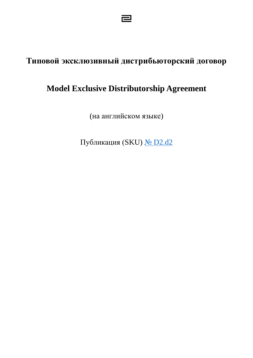# **Типовой эксклюзивный дистрибьюторский договор**

己

# **Model Exclusive Distributorship Agreement**

(на английском языке)

Публикация (SKU) № [D2.d2](https://miripravo.ru/d2-d2)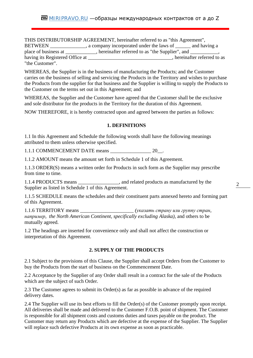THIS DISTRIBUTORSHIP AGREEMENT, hereinafter referred to as "this Agreement", BETWEEN \_\_\_\_\_\_\_\_\_\_\_\_, a company incorporated under the laws of \_\_\_\_\_ and having a place of business at \_\_\_\_\_\_\_\_\_, hereinafter referred to as "the Supplier", and \_\_\_\_\_\_\_\_, having its Registered Office at \_\_\_\_\_\_\_\_\_\_\_\_\_\_\_\_\_\_\_\_\_\_\_\_\_\_\_\_\_\_\_, hereinafter referred to as "the Customer".

WHEREAS, the Supplier is in the business of manufacturing the Products; and the Customer carries on the business of selling and servicing the Products in the Territory and wishes to purchase the Products from the supplier for that business and the Supplier is willing to supply the Products to the Customer on the terms set out in this Agreement; and

WHEREAS, the Supplier and the Customer have agreed that the Customer shall be the exclusive and sole distributor for the products in the Territory for the duration of this Agreement.

NOW THEREFORE, it is hereby contracted upon and agreed between the parties as follows:

## **1. DEFINITIONS**

1.1 In this Agreement and Schedule the following words shall have the following meanings attributed to them unless otherwise specified.

1.1.1 COMMENCEMENT DATE means 20 1

1.1.2 AMOUNT means the amount set forth in Schedule 1 of this Agreement.

1.1.3 ORDER(S) means a written order for Products in such form as the Supplier may prescribe from time to time.

1.1.4 PRODUCTS means \_\_\_\_\_\_\_\_\_\_\_\_\_\_\_\_, and related products as manufactured by the Supplier as listed in Schedule 1 of this Agreement.

1.1.5 SCHEDULE means the schedules and their constituent parts annexed hereto and forming part of this Agreement.

1.1.6 TERRITORY means \_\_\_\_\_\_\_\_\_\_\_\_\_\_\_\_\_\_\_\_\_ *(указать страну или группу стран, например, the North American Continent, specifically excluding Alaska)*, and others to be mutually agreed.

1.2 The headings are inserted for convenience only and shall not affect the construction or interpretation of this Agreement.

### **2. SUPPLY OF THE PRODUCTS**

2.1 Subject to the provisions of this Clause, the Supplier shall accept Orders from the Customer to buy the Products from the start of business on the Commencement Date.

2.2 Acceptance by the Supplier of any Order shall result in a contract for the sale of the Products which are the subject of such Order.

2.3 The Customer agrees to submit its Order(s) as far as possible in advance of the required delivery dates.

2.4 The Supplier will use its best efforts to fill the Order(s) of the Customer promptly upon receipt. All deliveries shall be made and delivered to the Customer F.O.B. point of shipment. The Customer is responsible for all shipment costs and customs duties and taxes payable on the product. The Customer may return any Products which are defective at the expense of the Supplier. The Supplier will replace such defective Products at its own expense as soon as practicable.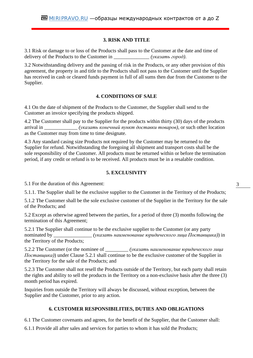# **3. RISK AND TITLE**

3.1 Risk or damage to or loss of the Products shall pass to the Customer at the date and time of delivery of the Products to the Customer in \_\_\_\_\_\_\_\_\_\_\_\_\_\_ *(указать город)*.

3.2 Notwithstanding delivery and the passing of risk in the Products, or any other provision of this agreement, the property in and title to the Products shall not pass to the Customer until the Supplier has received in cash or cleared funds payment in full of all sums then due from the Customer to the Supplier.

# **4. CONDITIONS OF SALE**

4.1 On the date of shipment of the Products to the Customer, the Supplier shall send to the Customer an invoice specifying the products shipped.

4.2 The Customer shall pay to the Supplier for the products within thirty (30) days of the products arrival in \_\_\_\_\_\_\_\_\_\_\_\_\_ *(указать конечный пункт доставки товаров)*, or such other location as the Customer may from time to time designate.

4.3 Any standard casing size Products not required by the Customer may be returned to the Supplier for refund. Notwithstanding the foregoing all shipment and transport costs shall be the sole responsibility of the Customer. All products must be returned within or before the termination period, if any credit or refund is to be received. All products must be in a resalable condition.

## **5. EXCLUSIVITY**

5.1 For the duration of this Agreement:

5.1.1. The Supplier shall be the exclusive supplier to the Customer in the Territory of the Products;

5.1.2 The Customer shall be the sole exclusive customer of the Supplier in the Territory for the sale of the Products; and

5.2 Except as otherwise agreed between the parties, for a period of three (3) months following the termination of this Agreement;

5.2.1 The Supplier shall continue to be the exclusive supplier to the Customer (or any party nominated by \_\_\_\_\_\_\_\_\_\_\_\_\_\_\_ *(указать наименование юридического лица Поставщика)*) in the Territory of the Products;

5.2.2 The Customer (or the nominee of \_\_\_\_\_\_\_\_\_ *(указать наименование юридического лица Поставщика)*) under Clause 5.2.1 shall continue to be the exclusive customer of the Supplier in the Territory for the sale of the Products; and

5.2.3 The Customer shall not resell the Products outside of the Territory, but each party shall retain the rights and ability to sell the products in the Territory on a non-exclusive basis after the three (3) month period has expired.

Inquiries from outside the Territory will always be discussed, without exception, between the Supplier and the Customer, prior to any action.

## **6. CUSTOMER RESPONSIBILITIES, DUTIES AND OBLIGATIONS**

6.1 The Customer covenants and agrees, for the benefit of the Supplier, that the Customer shall:

6.1.1 Provide all after sales and services for parties to whom it has sold the Products;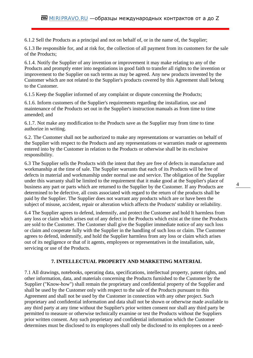6.1.2 Sell the Products as a principal and not on behalf of, or in the name of, the Supplier;

6.1.3 Be responsible for, and at risk for, the collection of all payment from its customers for the sale of the Products;

6.1.4. Notify the Supplier of any invention or improvement it may make relating to any of the Products and promptly enter into negotiations in good faith to transfer all rights to the invention or improvement to the Supplier on such terms as may be agreed. Any new products invented by the Customer which are not related to the Supplier's products covered by this Agreement shall belong to the Customer.

6.1.5 Keep the Supplier informed of any complaint or dispute concerning the Products;

6.1.6. Inform customers of the Supplier's requirements regarding the installation, use and maintenance of the Products set out in the Supplier's instruction manuals as from time to time amended; and

6.1.7. Not make any modification to the Products save as the Supplier may from time to time authorize in writing.

6.2. The Customer shall not be authorized to make any representations or warranties on behalf of the Supplier with respect to the Products and any representations or warranties made or agreements entered into by the Customer in relation to the Products or otherwise shall be its exclusive responsibility.

6.3 The Supplier sells the Products with the intent that they are free of defects in manufacture and workmanship at the time of sale. The Supplier warrants that each of its Products will be free of defects in material and workmanship under normal use and service. The obligation of the Supplier under this warranty shall be limited to the requirement that it make good at the Supplier's place of business any part or parts which are returned to the Supplier by the Customer. If any Products are determined to be defective, all costs associated with regard to the return of the products shall be paid by the Supplier. The Supplier does not warrant any products which are or have been the subject of misuse, accident, repair or alteration which affects the Products' stability or reliability.

6.4 The Supplier agrees to defend, indemnify, and protect the Customer and hold It harmless from any loss or claim which arises out of any defect in the Products which exist at the time the Products are sold to the Customer. The Customer shall give the Supplier immediate notice of any such loss or claim and cooperate fully with the Supplier in the handling of such loss or claim. The Customer agrees to defend, indemnify, and hold the Supplier harmless from any loss or claim which arises out of its negligence or that of it agents, employees or representatives in the installation, sale, servicing or use of the Products.

# **7. INTELLECTUAL PROPERTY AND MARKETING MATERIAL**

7.1 All drawings, notebooks, operating data, specifications, intellectual property, patent rights, and other information, data, and materials concerning the Products furnished to the Customer by the Supplier ("Know-how") shall remain the proprietary and confidential property of the Supplier and shall be used by the Customer only with respect to the sale of the Products pursuant to this Agreement and shall not be used by the Customer in connection with any other project. Such proprietary and confidential information and data shall not be shown or otherwise made available to any third party at any time without the Supplier's prior written consent nor shall any third party be permitted to measure or otherwise technically examine or test the Products without the Suppliers prior written consent. Any such proprietary and confidential information which the Customer determines must be disclosed to its employees shall only be disclosed to its employees on a need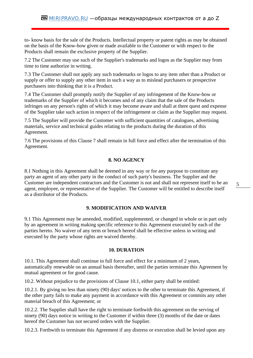to- know basis for the sale of the Products. Intellectual property or patent rights as may be obtained on the basis of the Know-how given or made available to the Customer or with respect to the Products shall remain the exclusive property of the Supplier.

7.2 The Customer may use such of the Supplier's trademarks and logos as the Supplier may from time to time authorize in writing.

7.3 The Customer shall not apply any such trademarks or logos to any item other than a Product or supply or offer to supply any other item in such a way as to mislead purchasers or prospective purchasers into thinking that it is a Product.

7.4 The Customer shall promptly notify the Supplier of any infringement of the Know-how or trademarks of the Supplier of which it becomes and of any claim that the sale of the Products infringes on any person's rights of which it may become aware and shall at there quest and expense of the Supplier take such action in respect of the infringement or claim as the Supplier may request.

7.5 The Supplier will provide the Customer with sufficient quantities of catalogues, advertising materials, service and technical guides relating to the products during the duration of this Agreement.

7.6 The provisions of this Clause 7 shall remain in full force and effect after the termination of this Agreement.

## **8. NO AGENCY**

8.1 Nothing in this Agreement shall be deemed in any way or for any purpose to constitute any party an agent of any other party in the conduct of such party's business. The Supplier and the Customer are independent contractors and the Customer is not and shall not represent itself to be an agent, employee, or representative of the Supplier. The Customer will be entitled to describe itself as a distributor of the Products.

### **9. MODIFICATION AND WAIVER**

9.1 This Agreement may be amended, modified, supplemented, or changed in whole or in part only by an agreement in writing making specific reference to this Agreement executed by each of the parties hereto. No waiver of any term or breach hereof shall be effective unless in writing and executed by the party whose rights are waived thereby.

#### **10. DURATION**

10.1. This Agreement shall continue in full force and effect for a minimum of 2 years, automatically renewable on an annual basis thereafter, until the parties terminate this Agreement by mutual agreement or for good cause.

10.2. Without prejudice to the provisions of Clause 10.1, either party shall be entitled:

10.2.1. By giving no less than ninety (90) days' notices to the other to terminate this Agreement, if the other party fails to make any payment in accordance with this Agreement or commits any other material breach of this Agreement; or

10.2.2. The Supplier shall have the right to terminate forthwith this agreement on the serving of ninety (90) days notice in writing to the Customer if within three (3) months of the date or dates hereof the Customer has not secured orders with the Supplier.

10.2.3. Forthwith to terminate this Agreement if any distress or execution shall be levied upon any